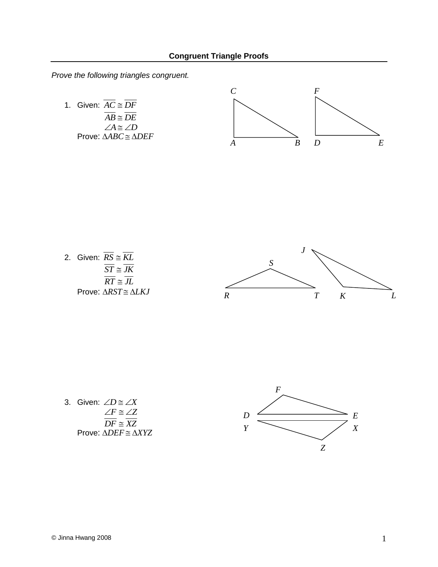*Prove the following triangles congruent.*

1. Given:  $AC \cong DF$  $\overline{AB} \cong \overline{DE}$  $\angle A \cong \angle D$ Prove: ∆*ABC* ∆*DEF*



2. Given: 
$$
\frac{\overline{RS}}{\overline{S1} \cong \overline{KL}}
$$
  
\n $\frac{\overline{ST}}{\overline{RT} \cong \overline{JL}}$   
\nProve:  $\triangle RST \cong \triangle LKI$ 

3. Given: 
$$
\angle D \cong \angle X
$$
  
\n $\angle F \cong \angle Z$   
\n $\overline{DF} \cong \overline{XZ}$   
\nProve:  $\triangle DEF \cong \triangle XYZ$ 

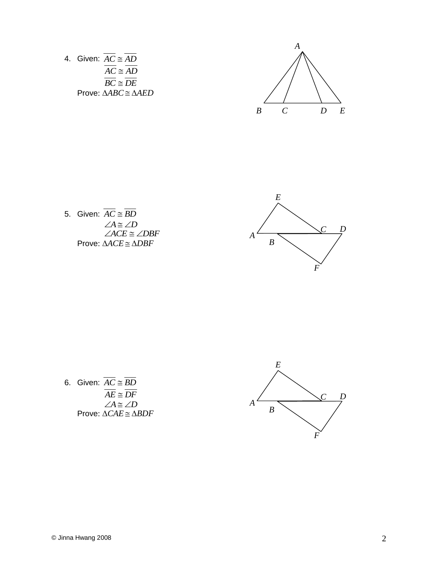

5. Given:  $AC \cong BD$  $\angle A \cong \angle D$ <br> $\angle ACE \cong \angle DBF$ Prove: ∆*ACE* ∆*DBF*



6. Given:  $AC \cong BD$  $\overline{AE} \cong \overline{DF}$  $\angle A \cong \angle D$ Prove:  $\triangle CAE \cong \triangle BDF$